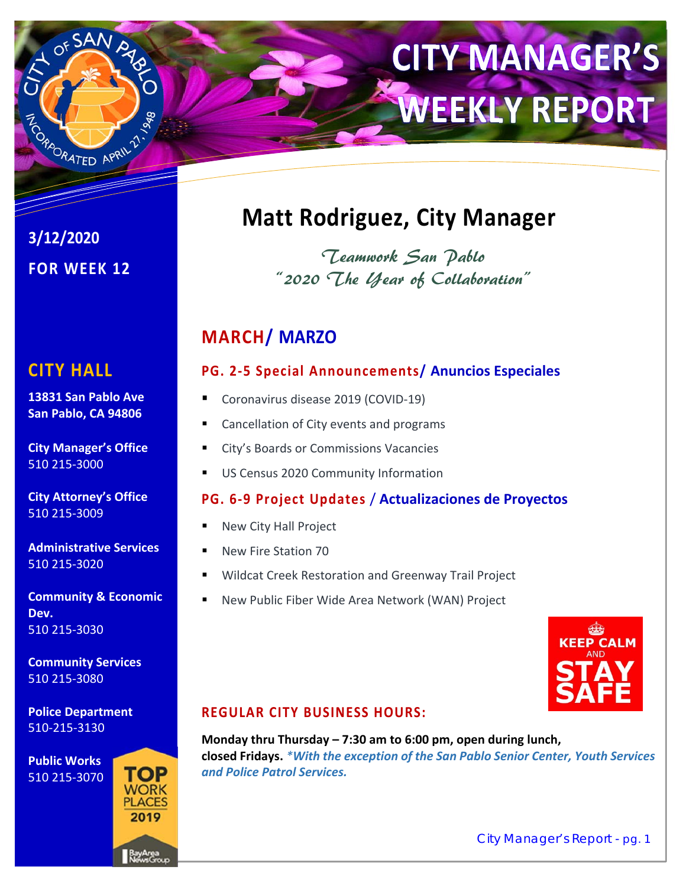

# **CITY MANAGER'S WEEKLY REPORT**

**3/12/2020 FOR WEEK 12** 

# **CITY HALL**

**13831 San Pablo Ave San Pablo, CA 94806** 

**City Manager's Office**  510 215‐3000

**City Attorney's Office**  510 215‐3009

**Administrative Services**  510 215‐3020

**Community & Economic Dev.**  510 215‐3030

**Community Services**  510 215‐3080

**Police Department**  510‐215‐3130

**Public Works**  510 215‐3070



# **Matt Rodriguez, City Manager**

Teamwork San Pablo "2020 The Year of Collaboration"

# **MARCH/ MARZO**

# **PG. 2‐5 Special Announcements/ Anuncios Especiales**

- Coronavirus disease 2019 (COVID‐19)
- Cancellation of City events and programs
- City's Boards or Commissions Vacancies
- US Census 2020 Community Information

# **PG. 6‐9 Project Updates** / **Actualizaciones de Proyectos**

- New City Hall Project
- New Fire Station 70
- Wildcat Creek Restoration and Greenway Trail Project
- New Public Fiber Wide Area Network (WAN) Project



# **REGULAR CITY BUSINESS HOURS:**

**Monday thru Thursday – 7:30 am to 6:00 pm, open during lunch, closed Fridays.** *\*With the exception of the San Pablo Senior Center, Youth Services and Police Patrol Services.*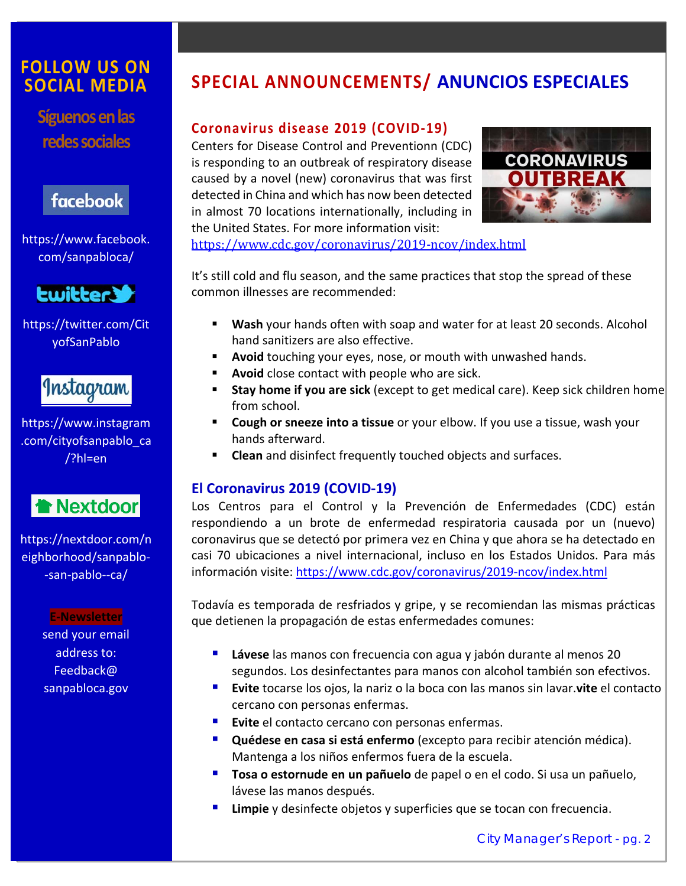# **FOLLOW US ON SOCIAL MEDIA**

**Síguenos en las redes sociales** 

# facebook

https://www.facebook. com/sanpabloca/



https://twitter.com/Cit yofSanPablo

# Instagram

https://www.instagram .com/cityofsanpablo\_ca /?hl=en



https://nextdoor.com/n eighborhood/sanpablo‐ ‐san‐pablo‐‐ca/

> **E‐Newsletter**  send your email address to: Feedback@ sanpabloca.gov

# **SPECIAL ANNOUNCEMENTS/ ANUNCIOS ESPECIALES**

#### **Coronavirus disease 2019 (COVID‐19)**

Centers for Disease Control and Preventionn (CDC) is responding to an outbreak of respiratory disease caused by a novel (new) coronavirus that was first detected in China and which has now been detected in almost 70 locations internationally, including in the United States. For more information visit:



https://www.cdc.gov/coronavirus/2019-ncov/index.html

It's still cold and flu season, and the same practices that stop the spread of these common illnesses are recommended:

- **Wash** your hands often with soap and water for at least 20 seconds. Alcohol hand sanitizers are also effective.
- **Avoid** touching your eyes, nose, or mouth with unwashed hands.
- **Avoid** close contact with people who are sick.
- **Stay home if you are sick** (except to get medical care). Keep sick children home from school.
- **Cough or sneeze into a tissue** or your elbow. If you use a tissue, wash your hands afterward.
- **Clean** and disinfect frequently touched objects and surfaces.

#### **El Coronavirus 2019 (COVID‐19)**

Los Centros para el Control y la Prevención de Enfermedades (CDC) están respondiendo a un brote de enfermedad respiratoria causada por un (nuevo) coronavirus que se detectó por primera vez en China y que ahora se ha detectado en casi 70 ubicaciones a nivel internacional, incluso en los Estados Unidos. Para más información visite: https://www.cdc.gov/coronavirus/2019-ncov/index.html

Todavía es temporada de resfriados y gripe, y se recomiendan las mismas prácticas que detienen la propagación de estas enfermedades comunes:

- **Lávese** las manos con frecuencia con agua y jabón durante al menos 20 segundos. Los desinfectantes para manos con alcohol también son efectivos.
- **Evite** tocarse los ojos, la nariz o la boca con las manos sin lavar.**vite** el contacto cercano con personas enfermas.
- **Evite** el contacto cercano con personas enfermas.
- **Quédese en casa si está enfermo** (excepto para recibir atención médica). Mantenga a los niños enfermos fuera de la escuela.
- **Tosa o estornude en un pañuelo** de papel o en el codo. Si usa un pañuelo, lávese las manos después.
- **Limpie** y desinfecte objetos y superficies que se tocan con frecuencia.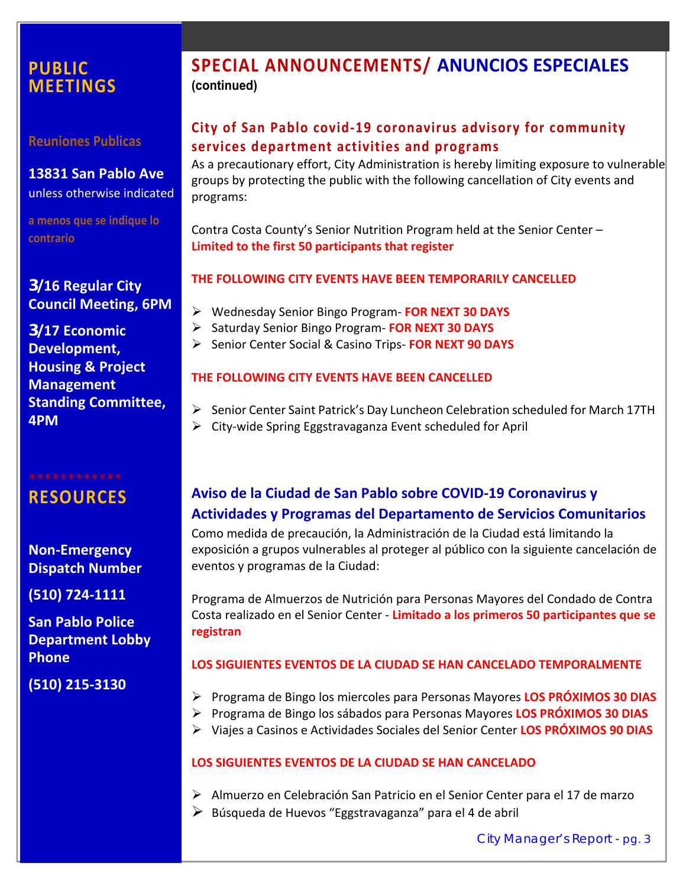# **PUBLIC MEETINGS**

**Reuniones Publicas** 

**13831 San Pablo Ave**  unless otherwise indicated

**a menos que se indique lo contrario** 

### **3/16 Regular City Council Meeting, 6PM**

**3/17 Economic Development, Housing & Project Management Standing Committee, 4PM** 

**RESOURCES** 

**Non‐Emergency Dispatch Number** 

**(510) 724‐1111** 

**San Pablo Police Department Lobby Phone** 

**(510) 215‐3130** 

# **SPECIAL ANNOUNCEMENTS/ ANUNCIOS ESPECIALES (continued)**

# **City of San Pablo covid‐19 coronavirus advisory for community services department activities and programs**

As a precautionary effort, City Administration is hereby limiting exposure to vulnerable groups by protecting the public with the following cancellation of City events and programs:

Contra Costa County's Senior Nutrition Program held at the Senior Center – **Limited to the first 50 participants that register**

#### **THE FOLLOWING CITY EVENTS HAVE BEEN TEMPORARILY CANCELLED**

- Wednesday Senior Bingo Program‐ **FOR NEXT 30 DAYS**
- Saturday Senior Bingo Program‐ **FOR NEXT 30 DAYS**
- Senior Center Social & Casino Trips‐ **FOR NEXT 90 DAYS**

#### **THE FOLLOWING CITY EVENTS HAVE BEEN CANCELLED**

- $\triangleright$  Senior Center Saint Patrick's Day Luncheon Celebration scheduled for March 17TH
- City‐wide Spring Eggstravaganza Event scheduled for April

# **Aviso de la Ciudad de San Pablo sobre COVID‐19 Coronavirus y Actividades y Programas del Departamento de Servicios Comunitarios**

Como medida de precaución, la Administración de la Ciudad está limitando la exposición a grupos vulnerables al proteger al público con la siguiente cancelación de eventos y programas de la Ciudad:

Programa de Almuerzos de Nutrición para Personas Mayores del Condado de Contra Costa realizado en el Senior Center ‐ **Limitado a los primeros 50 participantes que se registran** 

#### **LOS SIGUIENTES EVENTOS DE LA CIUDAD SE HAN CANCELADO TEMPORALMENTE**

- Programa de Bingo los miercoles para Personas Mayores **LOS PRÓXIMOS 30 DIAS**
- Programa de Bingo los sábados para Personas Mayores **LOS PRÓXIMOS 30 DIAS**
- Viajes a Casinos e Actividades Sociales del Senior Center **LOS PRÓXIMOS 90 DIAS**

#### **LOS SIGUIENTES EVENTOS DE LA CIUDAD SE HAN CANCELADO**

- Almuerzo en Celebración San Patricio en el Senior Center para el 17 de marzo
- $\triangleright$  Búsqueda de Huevos "Eggstravaganza" para el 4 de abril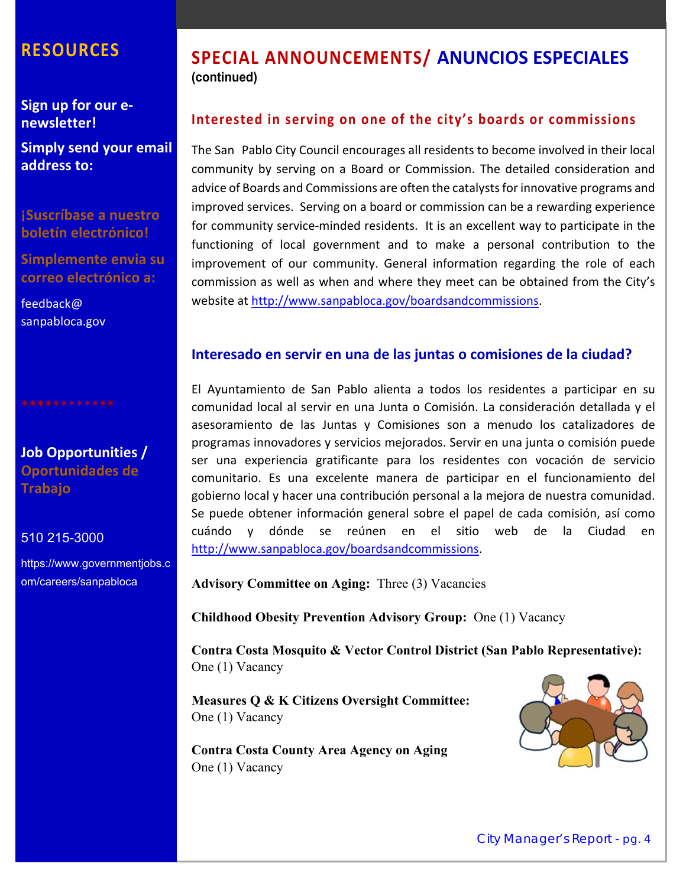# **RESOURCES**

**Sign up for our e‐ newsletter!** 

**Simply send your email address to:**

**¡Suscríbase a nuestro boletín electrónico!** 

**Simplemente envia su correo electrónico a:** 

feedback@ sanpabloca.gov

**Job Opportunities / Oportunidades de Trabajo** 

#### 510 215-3000

https://www.governmentjobs.c om/careers/sanpabloca

# **SPECIAL ANNOUNCEMENTS/ ANUNCIOS ESPECIALES (continued)**

#### **Interested in serving on one of the city's boards or commissions**

The San Pablo City Council encourages all residents to become involved in their local community by serving on a Board or Commission. The detailed consideration and advice of Boards and Commissions are often the catalysts for innovative programs and improved services. Serving on a board or commission can be a rewarding experience for community service‐minded residents. It is an excellent way to participate in the functioning of local government and to make a personal contribution to the improvement of our community. General information regarding the role of each commission as well as when and where they meet can be obtained from the City's website at http://www.sanpabloca.gov/boardsandcommissions.

#### **Interesado en servir en una de las juntas o comisiones de la ciudad?**

El Ayuntamiento de San Pablo alienta a todos los residentes a participar en su comunidad local al servir en una Junta o Comisión. La consideración detallada y el asesoramiento de las Juntas y Comisiones son a menudo los catalizadores de programas innovadores y servicios mejorados. Servir en una junta o comisión puede ser una experiencia gratificante para los residentes con vocación de servicio comunitario. Es una excelente manera de participar en el funcionamiento del gobierno local y hacer una contribución personal a la mejora de nuestra comunidad. Se puede obtener información general sobre el papel de cada comisión, así como cuándo y dónde se reúnen en el sitio web de la Ciudad en http://www.sanpabloca.gov/boardsandcommissions.

**Advisory Committee on Aging:** Three (3) Vacancies

**Childhood Obesity Prevention Advisory Group:** One (1) Vacancy

**Contra Costa Mosquito & Vector Control District (San Pablo Representative):**  One (1) Vacancy

**Measures Q & K Citizens Oversight Committee:**  One (1) Vacancy

**Contra Costa County Area Agency on Aging**  One (1) Vacancy

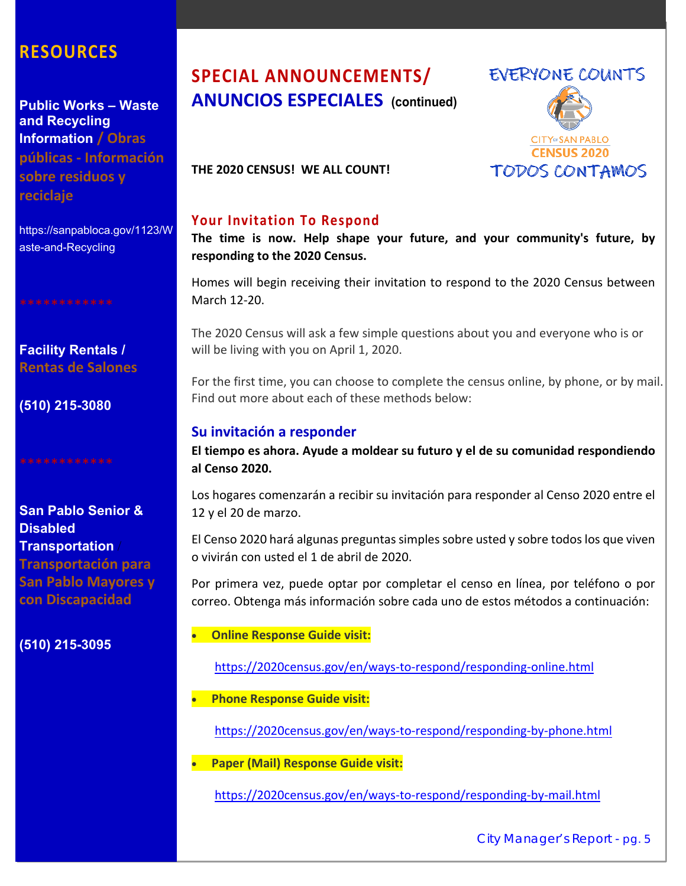# **RESOURCES**

**Public Works – Waste and Recycling Information / Obras públicas ‐ Información sobre residuos y reciclaje** 

https://sanpabloca.gov/1123/W aste-and-Recycling

**Facility Rentals / Rentas de Salones** 

**(510) 215-3080** 

#### **San Pablo Senior & Disabled Transportation** / **Transportación para**

**San Pablo Mayores y con Discapacidad**

**(510) 215-3095**

# **SPECIAL ANNOUNCEMENTS/ ANUNCIOS ESPECIALES (continued)**



**THE 2020 CENSUS! WE ALL COUNT!** 

#### **Your Invitation To Respond**

**The time is now. Help shape your future, and your community's future, by responding to the 2020 Census.** 

Homes will begin receiving their invitation to respond to the 2020 Census between March 12‐20.

The 2020 Census will ask a few simple questions about you and everyone who is or will be living with you on April 1, 2020.

For the first time, you can choose to complete the census online, by phone, or by mail. Find out more about each of these methods below:

#### **Su invitación a responder**

**El tiempo es ahora. Ayude a moldear su futuro y el de su comunidad respondiendo al Censo 2020.** 

Los hogares comenzarán a recibir su invitación para responder al Censo 2020 entre el 12 y el 20 de marzo.

El Censo 2020 hará algunas preguntas simples sobre usted y sobre todos los que viven o vivirán con usted el 1 de abril de 2020.

Por primera vez, puede optar por completar el censo en línea, por teléfono o por correo. Obtenga más información sobre cada uno de estos métodos a continuación:

#### **Online Response Guide visit:**

https://2020census.gov/en/ways‐to‐respond/responding‐online.html

**Phone Response Guide visit:** 

https://2020census.gov/en/ways‐to‐respond/responding‐by‐phone.html

**Paper (Mail) Response Guide visit:** 

https://2020census.gov/en/ways‐to‐respond/responding‐by‐mail.html

City Manager's Report - pg. 5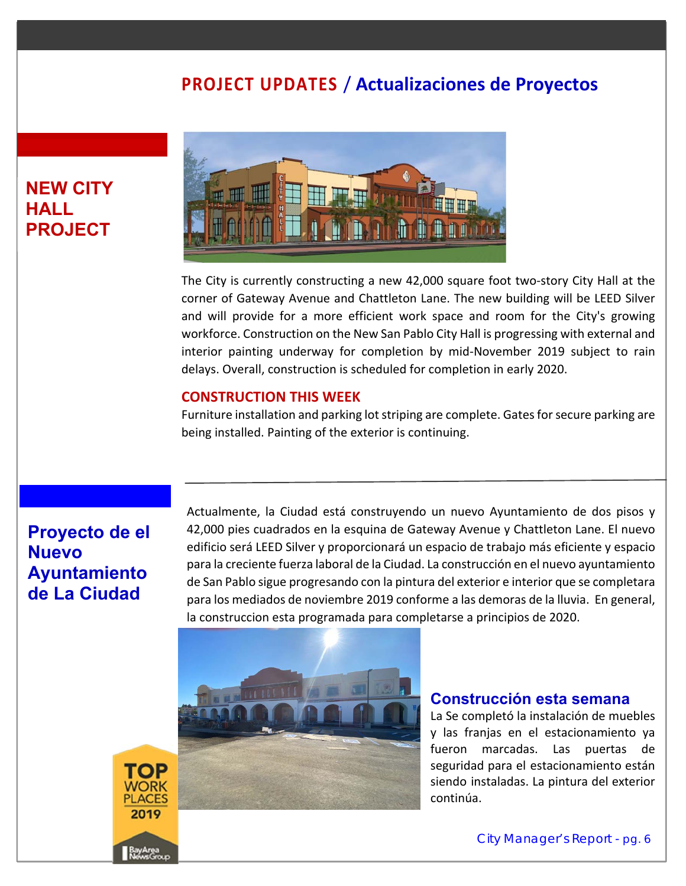# **PROJECT UPDATES** / **Actualizaciones de Proyectos**

# **NEW CITY HALL PROJECT**



The City is currently constructing a new 42,000 square foot two‐story City Hall at the corner of Gateway Avenue and Chattleton Lane. The new building will be LEED Silver and will provide for a more efficient work space and room for the City's growing workforce. Construction on the New San Pablo City Hall is progressing with external and interior painting underway for completion by mid‐November 2019 subject to rain delays. Overall, construction is scheduled for completion in early 2020.

#### **CONSTRUCTION THIS WEEK**

Furniture installation and parking lot striping are complete. Gates for secure parking are being installed. Painting of the exterior is continuing.

# **Proyecto de el Nuevo Ayuntamiento de La Ciudad**

Actualmente, la Ciudad está construyendo un nuevo Ayuntamiento de dos pisos y 42,000 pies cuadrados en la esquina de Gateway Avenue y Chattleton Lane. El nuevo edificio será LEED Silver y proporcionará un espacio de trabajo más eficiente y espacio para la creciente fuerza laboral de la Ciudad. La construcción en el nuevo ayuntamiento de San Pablo sigue progresando con la pintura del exterior e interior que se completara para los mediados de noviembre 2019 conforme a las demoras de la lluvia. En general, la construccion esta programada para completarse a principios de 2020.



#### **Construcción esta semana**

La Se completó la instalación de muebles y las franjas en el estacionamiento ya fueron marcadas. Las puertas de seguridad para el estacionamiento están siendo instaladas. La pintura del exterior continúa.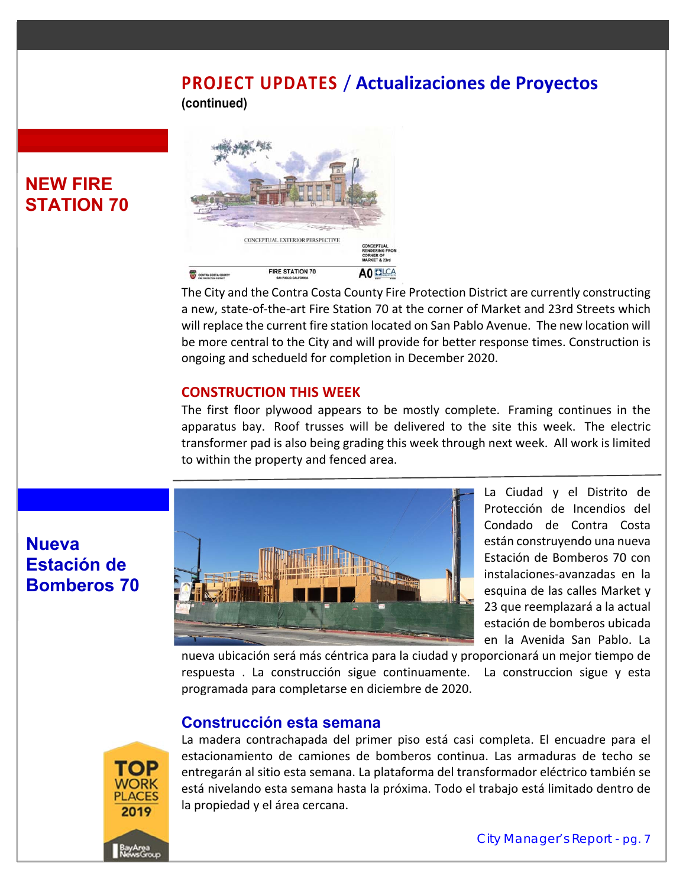# **PROJECT UPDATES** / **Actualizaciones de Proyectos**

**(continued)**



The City and the Contra Costa County Fire Protection District are currently constructing a new, state‐of‐the‐art Fire Station 70 at the corner of Market and 23rd Streets which will replace the current fire station located on San Pablo Avenue. The new location will be more central to the City and will provide for better response times. Construction is ongoing and schedueld for completion in December 2020.

#### **CONSTRUCTION THIS WEEK**

The first floor plywood appears to be mostly complete. Framing continues in the apparatus bay. Roof trusses will be delivered to the site this week. The electric transformer pad is also being grading this week through next week. All work is limited to within the property and fenced area.



La Ciudad y el Distrito de Protección de Incendios del Condado de Contra Costa están construyendo una nueva Estación de Bomberos 70 con instalaciones‐avanzadas en la esquina de las calles Market y 23 que reemplazará a la actual estación de bomberos ubicada en la Avenida San Pablo. La

nueva ubicación será más céntrica para la ciudad y proporcionará un mejor tiempo de respuesta . La construcción sigue continuamente. La construccion sigue y esta programada para completarse en diciembre de 2020.

#### **Construcción esta semana**



La madera contrachapada del primer piso está casi completa. El encuadre para el estacionamiento de camiones de bomberos continua. Las armaduras de techo se entregarán al sitio esta semana. La plataforma del transformador eléctrico también se está nivelando esta semana hasta la próxima. Todo el trabajo está limitado dentro de la propiedad y el área cercana.

# **NEW FIRE STATION 70**

**Nueva** 

**Estación de** 

**Bomberos 70**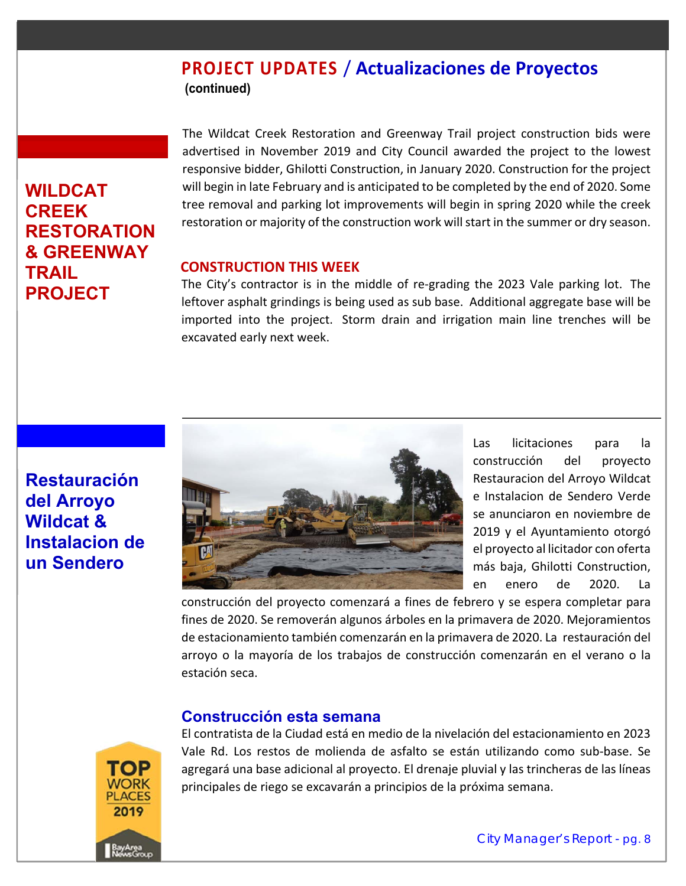# **PROJECT UPDATES** / **Actualizaciones de Proyectos (continued)**

# **WILDCAT CREEK RESTORATION & GREENWAY TRAIL PROJECT**

The Wildcat Creek Restoration and Greenway Trail project construction bids were advertised in November 2019 and City Council awarded the project to the lowest responsive bidder, Ghilotti Construction, in January 2020. Construction for the project will begin in late February and is anticipated to be completed by the end of 2020. Some tree removal and parking lot improvements will begin in spring 2020 while the creek restoration or majority of the construction work will start in the summer or dry season.

#### **CONSTRUCTION THIS WEEK**

The City's contractor is in the middle of re-grading the 2023 Vale parking lot. The leftover asphalt grindings is being used as sub base. Additional aggregate base will be imported into the project. Storm drain and irrigation main line trenches will be excavated early next week.

# **Restauración del Arroyo Wildcat & Instalacion de un Sendero**



Las licitaciones para la construcción del proyecto Restauracion del Arroyo Wildcat e Instalacion de Sendero Verde se anunciaron en noviembre de 2019 y el Ayuntamiento otorgó el proyecto al licitador con oferta más baja, Ghilotti Construction, en enero de 2020. La

construcción del proyecto comenzará a fines de febrero y se espera completar para fines de 2020. Se removerán algunos árboles en la primavera de 2020. Mejoramientos de estacionamiento también comenzarán en la primavera de 2020. La restauración del arroyo o la mayoría de los trabajos de construcción comenzarán en el verano o la estación seca.

# **Construcción esta semana**



El contratista de la Ciudad está en medio de la nivelación del estacionamiento en 2023 Vale Rd. Los restos de molienda de asfalto se están utilizando como sub-base. Se agregará una base adicional al proyecto. El drenaje pluvial y las trincheras de las líneas principales de riego se excavarán a principios de la próxima semana.